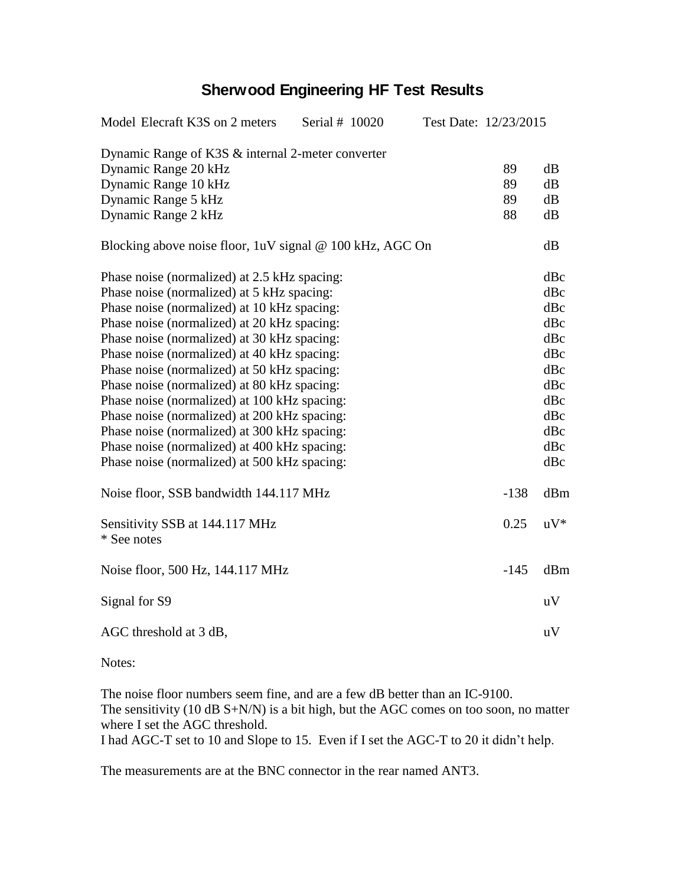## **Sherwood Engineering HF Test Results**

| Dynamic Range of K3S & internal 2-meter converter<br>Dynamic Range 20 kHz<br>89<br>dB<br>Dynamic Range 10 kHz<br>89<br>dB<br>Dynamic Range 5 kHz<br>89<br>dB<br>Dynamic Range 2 kHz<br>88<br>dB<br>dB<br>Blocking above noise floor, 1uV signal @ 100 kHz, AGC On<br>dBc<br>Phase noise (normalized) at 2.5 kHz spacing:<br>Phase noise (normalized) at 5 kHz spacing:<br>dBc<br>dBc<br>dBc<br>dBc<br>Phase noise (normalized) at 40 kHz spacing:<br>dBc<br>Phase noise (normalized) at 50 kHz spacing:<br>dBc<br>Phase noise (normalized) at 80 kHz spacing:<br>dBc<br>Phase noise (normalized) at 100 kHz spacing:<br>dBc<br>dBc<br>Phase noise (normalized) at 200 kHz spacing:<br>Phase noise (normalized) at 300 kHz spacing:<br>dBc<br>Phase noise (normalized) at 400 kHz spacing:<br>dBc<br>Phase noise (normalized) at 500 kHz spacing:<br>dBc<br>Noise floor, SSB bandwidth 144.117 MHz<br>$-138$<br>dBm<br>0.25<br>$uV^*$<br>Sensitivity SSB at 144.117 MHz<br>* See notes<br>$-145$<br>Noise floor, 500 Hz, 144.117 MHz<br>dBm<br>Signal for S9<br>uV<br>AGC threshold at 3 dB,<br>uV | Model Elecraft K3S on 2 meters              | Serial # 10020 |  | Test Date: 12/23/2015 |  |  |
|---------------------------------------------------------------------------------------------------------------------------------------------------------------------------------------------------------------------------------------------------------------------------------------------------------------------------------------------------------------------------------------------------------------------------------------------------------------------------------------------------------------------------------------------------------------------------------------------------------------------------------------------------------------------------------------------------------------------------------------------------------------------------------------------------------------------------------------------------------------------------------------------------------------------------------------------------------------------------------------------------------------------------------------------------------------------------------------------------|---------------------------------------------|----------------|--|-----------------------|--|--|
|                                                                                                                                                                                                                                                                                                                                                                                                                                                                                                                                                                                                                                                                                                                                                                                                                                                                                                                                                                                                                                                                                                   |                                             |                |  |                       |  |  |
|                                                                                                                                                                                                                                                                                                                                                                                                                                                                                                                                                                                                                                                                                                                                                                                                                                                                                                                                                                                                                                                                                                   |                                             |                |  |                       |  |  |
|                                                                                                                                                                                                                                                                                                                                                                                                                                                                                                                                                                                                                                                                                                                                                                                                                                                                                                                                                                                                                                                                                                   |                                             |                |  |                       |  |  |
|                                                                                                                                                                                                                                                                                                                                                                                                                                                                                                                                                                                                                                                                                                                                                                                                                                                                                                                                                                                                                                                                                                   |                                             |                |  |                       |  |  |
|                                                                                                                                                                                                                                                                                                                                                                                                                                                                                                                                                                                                                                                                                                                                                                                                                                                                                                                                                                                                                                                                                                   |                                             |                |  |                       |  |  |
|                                                                                                                                                                                                                                                                                                                                                                                                                                                                                                                                                                                                                                                                                                                                                                                                                                                                                                                                                                                                                                                                                                   |                                             |                |  |                       |  |  |
|                                                                                                                                                                                                                                                                                                                                                                                                                                                                                                                                                                                                                                                                                                                                                                                                                                                                                                                                                                                                                                                                                                   |                                             |                |  |                       |  |  |
|                                                                                                                                                                                                                                                                                                                                                                                                                                                                                                                                                                                                                                                                                                                                                                                                                                                                                                                                                                                                                                                                                                   |                                             |                |  |                       |  |  |
|                                                                                                                                                                                                                                                                                                                                                                                                                                                                                                                                                                                                                                                                                                                                                                                                                                                                                                                                                                                                                                                                                                   | Phase noise (normalized) at 10 kHz spacing: |                |  |                       |  |  |
|                                                                                                                                                                                                                                                                                                                                                                                                                                                                                                                                                                                                                                                                                                                                                                                                                                                                                                                                                                                                                                                                                                   | Phase noise (normalized) at 20 kHz spacing: |                |  |                       |  |  |
|                                                                                                                                                                                                                                                                                                                                                                                                                                                                                                                                                                                                                                                                                                                                                                                                                                                                                                                                                                                                                                                                                                   | Phase noise (normalized) at 30 kHz spacing: |                |  |                       |  |  |
|                                                                                                                                                                                                                                                                                                                                                                                                                                                                                                                                                                                                                                                                                                                                                                                                                                                                                                                                                                                                                                                                                                   |                                             |                |  |                       |  |  |
|                                                                                                                                                                                                                                                                                                                                                                                                                                                                                                                                                                                                                                                                                                                                                                                                                                                                                                                                                                                                                                                                                                   |                                             |                |  |                       |  |  |
|                                                                                                                                                                                                                                                                                                                                                                                                                                                                                                                                                                                                                                                                                                                                                                                                                                                                                                                                                                                                                                                                                                   |                                             |                |  |                       |  |  |
|                                                                                                                                                                                                                                                                                                                                                                                                                                                                                                                                                                                                                                                                                                                                                                                                                                                                                                                                                                                                                                                                                                   |                                             |                |  |                       |  |  |
|                                                                                                                                                                                                                                                                                                                                                                                                                                                                                                                                                                                                                                                                                                                                                                                                                                                                                                                                                                                                                                                                                                   |                                             |                |  |                       |  |  |
|                                                                                                                                                                                                                                                                                                                                                                                                                                                                                                                                                                                                                                                                                                                                                                                                                                                                                                                                                                                                                                                                                                   |                                             |                |  |                       |  |  |
|                                                                                                                                                                                                                                                                                                                                                                                                                                                                                                                                                                                                                                                                                                                                                                                                                                                                                                                                                                                                                                                                                                   |                                             |                |  |                       |  |  |
|                                                                                                                                                                                                                                                                                                                                                                                                                                                                                                                                                                                                                                                                                                                                                                                                                                                                                                                                                                                                                                                                                                   |                                             |                |  |                       |  |  |
|                                                                                                                                                                                                                                                                                                                                                                                                                                                                                                                                                                                                                                                                                                                                                                                                                                                                                                                                                                                                                                                                                                   |                                             |                |  |                       |  |  |
|                                                                                                                                                                                                                                                                                                                                                                                                                                                                                                                                                                                                                                                                                                                                                                                                                                                                                                                                                                                                                                                                                                   |                                             |                |  |                       |  |  |
|                                                                                                                                                                                                                                                                                                                                                                                                                                                                                                                                                                                                                                                                                                                                                                                                                                                                                                                                                                                                                                                                                                   |                                             |                |  |                       |  |  |
|                                                                                                                                                                                                                                                                                                                                                                                                                                                                                                                                                                                                                                                                                                                                                                                                                                                                                                                                                                                                                                                                                                   |                                             |                |  |                       |  |  |
|                                                                                                                                                                                                                                                                                                                                                                                                                                                                                                                                                                                                                                                                                                                                                                                                                                                                                                                                                                                                                                                                                                   |                                             |                |  |                       |  |  |
|                                                                                                                                                                                                                                                                                                                                                                                                                                                                                                                                                                                                                                                                                                                                                                                                                                                                                                                                                                                                                                                                                                   |                                             |                |  |                       |  |  |

Notes:

The noise floor numbers seem fine, and are a few dB better than an IC-9100. The sensitivity (10 dB S+N/N) is a bit high, but the AGC comes on too soon, no matter where I set the AGC threshold. I had AGC-T set to 10 and Slope to 15. Even if I set the AGC-T to 20 it didn't help.

The measurements are at the BNC connector in the rear named ANT3.